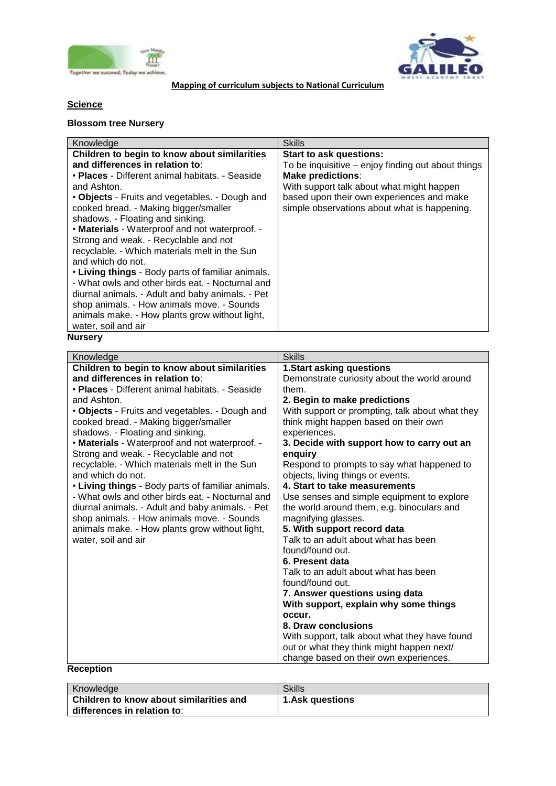



**Mapping of curriculum subjects to National Curriculum**

# **Science**

# **Blossom tree Nursery**

| Knowledge                                         | <b>Skills</b>                                      |
|---------------------------------------------------|----------------------------------------------------|
| Children to begin to know about similarities      | <b>Start to ask questions:</b>                     |
| and differences in relation to:                   | To be inquisitive – enjoy finding out about things |
| • Places - Different animal habitats. - Seaside   | <b>Make predictions:</b>                           |
| and Ashton.                                       | With support talk about what might happen          |
| • Objects - Fruits and vegetables. - Dough and    | based upon their own experiences and make          |
| cooked bread. - Making bigger/smaller             | simple observations about what is happening.       |
| shadows. - Floating and sinking.                  |                                                    |
| • Materials - Waterproof and not waterproof. -    |                                                    |
| Strong and weak. - Recyclable and not             |                                                    |
| recyclable. - Which materials melt in the Sun     |                                                    |
| and which do not.                                 |                                                    |
| • Living things - Body parts of familiar animals. |                                                    |
| - What owls and other birds eat. - Nocturnal and  |                                                    |
| diurnal animals. - Adult and baby animals. - Pet  |                                                    |
| shop animals. - How animals move. - Sounds        |                                                    |
| animals make. - How plants grow without light,    |                                                    |
| water, soil and air                               |                                                    |
| <b>Nursery</b>                                    |                                                    |

| Knowledge                                         | <b>Skills</b>                                            |
|---------------------------------------------------|----------------------------------------------------------|
| Children to begin to know about similarities      | <b>1.Start asking questions</b>                          |
| and differences in relation to:                   | Demonstrate curiosity about the world around             |
| • Places - Different animal habitats. - Seaside   | them.                                                    |
| and Ashton.                                       |                                                          |
|                                                   | 2. Begin to make predictions                             |
| • Objects - Fruits and vegetables. - Dough and    | With support or prompting, talk about what they          |
| cooked bread. - Making bigger/smaller             | think might happen based on their own                    |
| shadows. - Floating and sinking.                  | experiences.                                             |
| • Materials - Waterproof and not waterproof. -    | 3. Decide with support how to carry out an               |
| Strong and weak. - Recyclable and not             | enquiry                                                  |
| recyclable. - Which materials melt in the Sun     | Respond to prompts to say what happened to               |
| and which do not.                                 | objects, living things or events.                        |
| • Living things - Body parts of familiar animals. | 4. Start to take measurements                            |
| - What owls and other birds eat. - Nocturnal and  | Use senses and simple equipment to explore               |
| diurnal animals. - Adult and baby animals. - Pet  | the world around them, e.g. binoculars and               |
| shop animals. - How animals move. - Sounds        | magnifying glasses.                                      |
| animals make. - How plants grow without light,    | 5. With support record data                              |
| water, soil and air                               | Talk to an adult about what has been                     |
|                                                   | found/found out.                                         |
|                                                   | 6. Present data                                          |
|                                                   | Talk to an adult about what has been<br>found/found out. |
|                                                   |                                                          |
|                                                   | 7. Answer questions using data                           |
|                                                   | With support, explain why some things                    |
|                                                   | occur.                                                   |
|                                                   | 8. Draw conclusions                                      |
|                                                   | With support, talk about what they have found            |
|                                                   | out or what they think might happen next/                |
|                                                   | change based on their own experiences.                   |
| <b>Reception</b>                                  |                                                          |

| <b>Knowledge</b>                                                       | <b>Skills</b>          |
|------------------------------------------------------------------------|------------------------|
| Children to know about similarities and<br>differences in relation to: | <b>1.Ask questions</b> |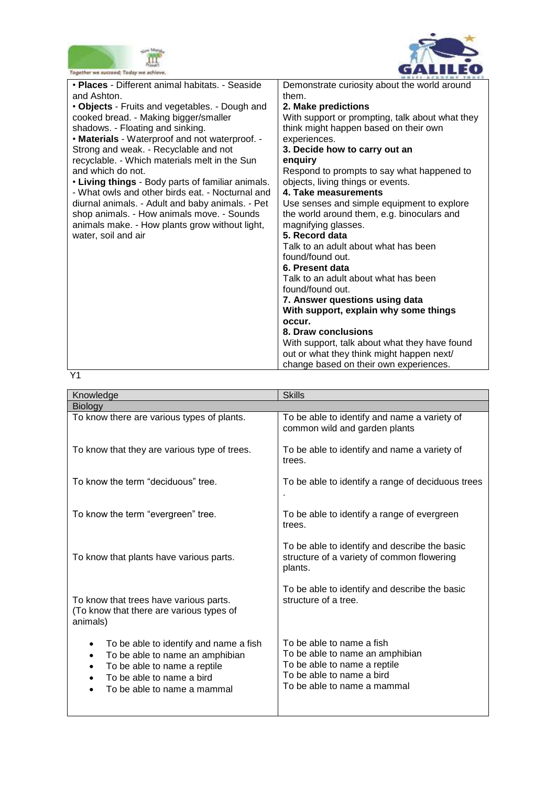



| Together we succeed; Today we achieve.                         |                                                       |
|----------------------------------------------------------------|-------------------------------------------------------|
| • Places - Different animal habitats. - Seaside<br>and Ashton. | Demonstrate curiosity about the world around<br>them. |
|                                                                |                                                       |
| • Objects - Fruits and vegetables. - Dough and                 | 2. Make predictions                                   |
| cooked bread. - Making bigger/smaller                          | With support or prompting, talk about what they       |
| shadows. - Floating and sinking.                               | think might happen based on their own                 |
| • Materials - Waterproof and not waterproof. -                 | experiences.                                          |
| Strong and weak. - Recyclable and not                          | 3. Decide how to carry out an                         |
| recyclable. - Which materials melt in the Sun                  | enguiry                                               |
| and which do not.                                              | Respond to prompts to say what happened to            |
| • Living things - Body parts of familiar animals.              | objects, living things or events.                     |
| - What owls and other birds eat. - Nocturnal and               | 4. Take measurements                                  |
| diurnal animals. - Adult and baby animals. - Pet               | Use senses and simple equipment to explore            |
| shop animals. - How animals move. - Sounds                     | the world around them, e.g. binoculars and            |
| animals make. - How plants grow without light,                 | magnifying glasses.                                   |
| water, soil and air                                            | 5. Record data                                        |
|                                                                | Talk to an adult about what has been                  |
|                                                                | found/found out.                                      |
|                                                                | 6. Present data                                       |
|                                                                | Talk to an adult about what has been                  |
|                                                                |                                                       |
|                                                                | found/found out.                                      |
|                                                                | 7. Answer questions using data                        |
|                                                                | With support, explain why some things                 |
|                                                                | occur.                                                |
|                                                                | 8. Draw conclusions                                   |
|                                                                | With support, talk about what they have found         |
|                                                                | out or what they think might happen next/             |
|                                                                | change based on their own experiences.                |

Y1

| Knowledge                                                                                                                                                                               | <b>Skills</b>                                                                                                                                            |
|-----------------------------------------------------------------------------------------------------------------------------------------------------------------------------------------|----------------------------------------------------------------------------------------------------------------------------------------------------------|
| <b>Biology</b>                                                                                                                                                                          |                                                                                                                                                          |
| To know there are various types of plants.                                                                                                                                              | To be able to identify and name a variety of<br>common wild and garden plants                                                                            |
| To know that they are various type of trees.                                                                                                                                            | To be able to identify and name a variety of<br>trees.                                                                                                   |
| To know the term "deciduous" tree.                                                                                                                                                      | To be able to identify a range of deciduous trees                                                                                                        |
| To know the term "evergreen" tree.                                                                                                                                                      | To be able to identify a range of evergreen<br>trees.                                                                                                    |
| To know that plants have various parts.                                                                                                                                                 | To be able to identify and describe the basic<br>structure of a variety of common flowering<br>plants.                                                   |
| To know that trees have various parts.<br>(To know that there are various types of<br>animals)                                                                                          | To be able to identify and describe the basic<br>structure of a tree.                                                                                    |
| To be able to identify and name a fish<br>To be able to name an amphibian<br>$\bullet$<br>To be able to name a reptile<br>٠<br>To be able to name a bird<br>To be able to name a mammal | To be able to name a fish<br>To be able to name an amphibian<br>To be able to name a reptile<br>To be able to name a bird<br>To be able to name a mammal |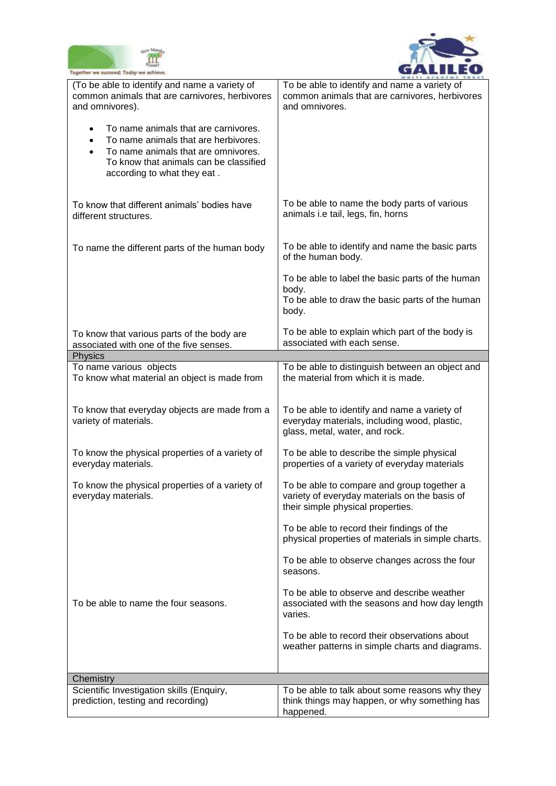



| Together we succeed; Today we achieve.                                                                                                                                                                                              |                                                                                                                                  |
|-------------------------------------------------------------------------------------------------------------------------------------------------------------------------------------------------------------------------------------|----------------------------------------------------------------------------------------------------------------------------------|
| (To be able to identify and name a variety of<br>common animals that are carnivores, herbivores<br>and omnivores).                                                                                                                  | To be able to identify and name a variety of<br>common animals that are carnivores, herbivores<br>and omnivores.                 |
| To name animals that are carnivores.<br>$\bullet$<br>To name animals that are herbivores.<br>$\bullet$<br>To name animals that are omnivores.<br>$\bullet$<br>To know that animals can be classified<br>according to what they eat. |                                                                                                                                  |
| To know that different animals' bodies have<br>different structures.                                                                                                                                                                | To be able to name the body parts of various<br>animals i.e tail, legs, fin, horns                                               |
| To name the different parts of the human body                                                                                                                                                                                       | To be able to identify and name the basic parts<br>of the human body.                                                            |
|                                                                                                                                                                                                                                     | To be able to label the basic parts of the human                                                                                 |
|                                                                                                                                                                                                                                     | body.<br>To be able to draw the basic parts of the human<br>body.                                                                |
|                                                                                                                                                                                                                                     | To be able to explain which part of the body is                                                                                  |
| To know that various parts of the body are<br>associated with one of the five senses.                                                                                                                                               | associated with each sense.                                                                                                      |
| Physics                                                                                                                                                                                                                             |                                                                                                                                  |
| To name various objects<br>To know what material an object is made from                                                                                                                                                             | To be able to distinguish between an object and<br>the material from which it is made.                                           |
| To know that everyday objects are made from a<br>variety of materials.                                                                                                                                                              | To be able to identify and name a variety of<br>everyday materials, including wood, plastic,<br>glass, metal, water, and rock.   |
| To know the physical properties of a variety of<br>everyday materials.                                                                                                                                                              | To be able to describe the simple physical<br>properties of a variety of everyday materials                                      |
| To know the physical properties of a variety of<br>everyday materials.                                                                                                                                                              | To be able to compare and group together a<br>variety of everyday materials on the basis of<br>their simple physical properties. |
|                                                                                                                                                                                                                                     | To be able to record their findings of the<br>physical properties of materials in simple charts.                                 |
|                                                                                                                                                                                                                                     | To be able to observe changes across the four<br>seasons.                                                                        |
| To be able to name the four seasons.                                                                                                                                                                                                | To be able to observe and describe weather<br>associated with the seasons and how day length<br>varies.                          |
|                                                                                                                                                                                                                                     | To be able to record their observations about<br>weather patterns in simple charts and diagrams.                                 |
| Chemistry                                                                                                                                                                                                                           |                                                                                                                                  |
| Scientific Investigation skills (Enquiry,                                                                                                                                                                                           | To be able to talk about some reasons why they                                                                                   |
| prediction, testing and recording)                                                                                                                                                                                                  | think things may happen, or why something has<br>happened.                                                                       |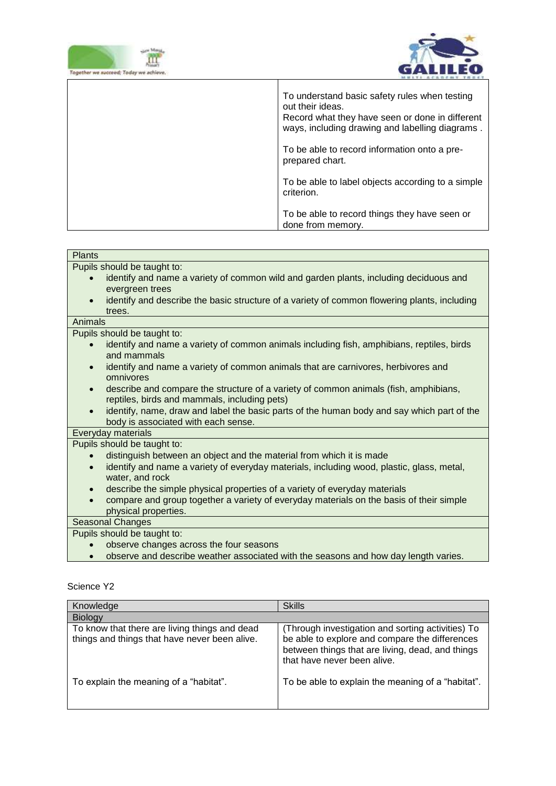

 $\overline{1}$ 



| To understand basic safety rules when testing<br>out their ideas.<br>Record what they have seen or done in different<br>ways, including drawing and labelling diagrams. |
|-------------------------------------------------------------------------------------------------------------------------------------------------------------------------|
| To be able to record information onto a pre-<br>prepared chart.                                                                                                         |
| To be able to label objects according to a simple<br>criterion.                                                                                                         |
| To be able to record things they have seen or<br>done from memory.                                                                                                      |

 $\overline{\mathsf{T}}$ 

| <b>Plants</b>                                                                                             |
|-----------------------------------------------------------------------------------------------------------|
| Pupils should be taught to:                                                                               |
| identify and name a variety of common wild and garden plants, including deciduous and<br>$\bullet$        |
| evergreen trees                                                                                           |
| identify and describe the basic structure of a variety of common flowering plants, including<br>$\bullet$ |
| trees.                                                                                                    |
| Animals                                                                                                   |
| Pupils should be taught to:                                                                               |
| identify and name a variety of common animals including fish, amphibians, reptiles, birds<br>$\bullet$    |
| and mammals                                                                                               |
| identify and name a variety of common animals that are carnivores, herbivores and<br>$\bullet$            |
| omnivores                                                                                                 |
| describe and compare the structure of a variety of common animals (fish, amphibians,<br>$\bullet$         |
| reptiles, birds and mammals, including pets)                                                              |
| identify, name, draw and label the basic parts of the human body and say which part of the<br>$\bullet$   |
| body is associated with each sense.                                                                       |
| Everyday materials                                                                                        |
| Pupils should be taught to:                                                                               |
| distinguish between an object and the material from which it is made                                      |
| identify and name a variety of everyday materials, including wood, plastic, glass, metal,<br>$\bullet$    |
| water, and rock                                                                                           |
| describe the simple physical properties of a variety of everyday materials<br>$\bullet$                   |
| compare and group together a variety of everyday materials on the basis of their simple                   |
| physical properties.                                                                                      |
| <b>Seasonal Changes</b>                                                                                   |
| Pupils should be taught to:                                                                               |
| observe changes across the four seasons                                                                   |
| observe and describe weather associated with the seasons and how day length varies.                       |

| Knowledge                                                                                      | <b>Skills</b>                                                                                                                                                                          |
|------------------------------------------------------------------------------------------------|----------------------------------------------------------------------------------------------------------------------------------------------------------------------------------------|
| <b>Biology</b>                                                                                 |                                                                                                                                                                                        |
| To know that there are living things and dead<br>things and things that have never been alive. | (Through investigation and sorting activities) To<br>be able to explore and compare the differences<br>between things that are living, dead, and things<br>that have never been alive. |
| To explain the meaning of a "habitat".                                                         | To be able to explain the meaning of a "habitat".                                                                                                                                      |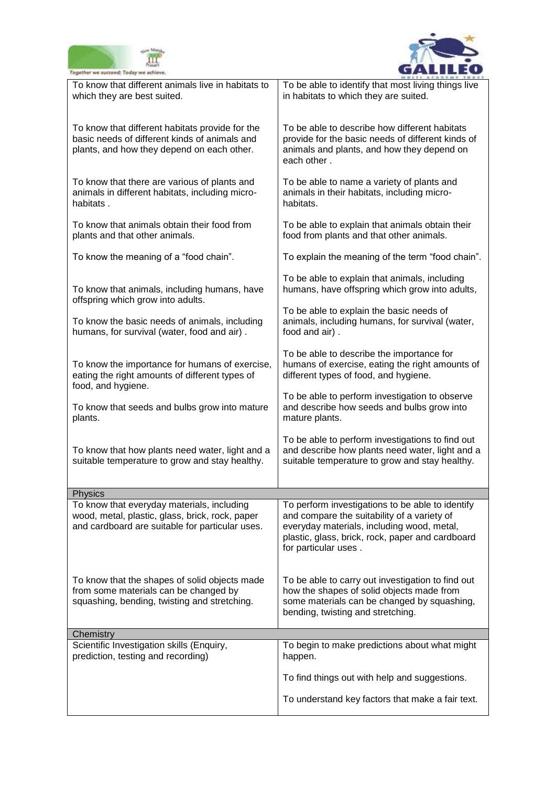



| Together we succeed; Today we achieve.                                                                                                           |                                                                                                                                                                                                                           |
|--------------------------------------------------------------------------------------------------------------------------------------------------|---------------------------------------------------------------------------------------------------------------------------------------------------------------------------------------------------------------------------|
| To know that different animals live in habitats to<br>which they are best suited.                                                                | To be able to identify that most living things live<br>in habitats to which they are suited.                                                                                                                              |
| To know that different habitats provide for the<br>basic needs of different kinds of animals and<br>plants, and how they depend on each other.   | To be able to describe how different habitats<br>provide for the basic needs of different kinds of<br>animals and plants, and how they depend on<br>each other.                                                           |
| To know that there are various of plants and<br>animals in different habitats, including micro-<br>habitats.                                     | To be able to name a variety of plants and<br>animals in their habitats, including micro-<br>habitats.                                                                                                                    |
| To know that animals obtain their food from<br>plants and that other animals.                                                                    | To be able to explain that animals obtain their<br>food from plants and that other animals.                                                                                                                               |
| To know the meaning of a "food chain".                                                                                                           | To explain the meaning of the term "food chain".                                                                                                                                                                          |
| To know that animals, including humans, have                                                                                                     | To be able to explain that animals, including<br>humans, have offspring which grow into adults,                                                                                                                           |
| offspring which grow into adults.<br>To know the basic needs of animals, including<br>humans, for survival (water, food and air).                | To be able to explain the basic needs of<br>animals, including humans, for survival (water,<br>food and air).                                                                                                             |
| To know the importance for humans of exercise,<br>eating the right amounts of different types of<br>food, and hygiene.                           | To be able to describe the importance for<br>humans of exercise, eating the right amounts of<br>different types of food, and hygiene.                                                                                     |
| To know that seeds and bulbs grow into mature<br>plants.                                                                                         | To be able to perform investigation to observe<br>and describe how seeds and bulbs grow into<br>mature plants.                                                                                                            |
| To know that how plants need water, light and a<br>suitable temperature to grow and stay healthy.                                                | To be able to perform investigations to find out<br>and describe how plants need water, light and a<br>suitable temperature to grow and stay healthy.                                                                     |
| <b>Physics</b>                                                                                                                                   |                                                                                                                                                                                                                           |
| To know that everyday materials, including<br>wood, metal, plastic, glass, brick, rock, paper<br>and cardboard are suitable for particular uses. | To perform investigations to be able to identify<br>and compare the suitability of a variety of<br>everyday materials, including wood, metal,<br>plastic, glass, brick, rock, paper and cardboard<br>for particular uses. |
| To know that the shapes of solid objects made<br>from some materials can be changed by<br>squashing, bending, twisting and stretching.           | To be able to carry out investigation to find out<br>how the shapes of solid objects made from<br>some materials can be changed by squashing,<br>bending, twisting and stretching.                                        |
| Chemistry                                                                                                                                        |                                                                                                                                                                                                                           |
| Scientific Investigation skills (Enquiry,<br>prediction, testing and recording)                                                                  | To begin to make predictions about what might<br>happen.                                                                                                                                                                  |
|                                                                                                                                                  | To find things out with help and suggestions.                                                                                                                                                                             |
|                                                                                                                                                  | To understand key factors that make a fair text.                                                                                                                                                                          |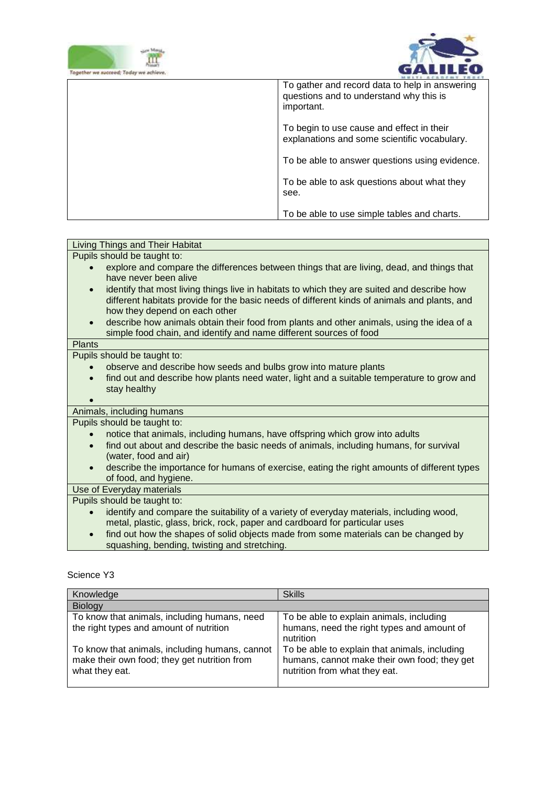



| oqether we succeed: Today we achieve |                                                                                                         |
|--------------------------------------|---------------------------------------------------------------------------------------------------------|
|                                      | To gather and record data to help in answering<br>questions and to understand why this is<br>important. |
|                                      | To begin to use cause and effect in their<br>explanations and some scientific vocabulary.               |
|                                      | To be able to answer questions using evidence.                                                          |
|                                      | To be able to ask questions about what they<br>see.                                                     |
|                                      | To be able to use simple tables and charts.                                                             |

| Pupils should be taught to:<br>explore and compare the differences between things that are living, dead, and things that<br>have never been alive<br>identify that most living things live in habitats to which they are suited and describe how<br>different habitats provide for the basic needs of different kinds of animals and plants, and<br>how they depend on each other<br>describe how animals obtain their food from plants and other animals, using the idea of a<br>$\bullet$<br>simple food chain, and identify and name different sources of food<br><b>Plants</b> |
|------------------------------------------------------------------------------------------------------------------------------------------------------------------------------------------------------------------------------------------------------------------------------------------------------------------------------------------------------------------------------------------------------------------------------------------------------------------------------------------------------------------------------------------------------------------------------------|
|                                                                                                                                                                                                                                                                                                                                                                                                                                                                                                                                                                                    |
|                                                                                                                                                                                                                                                                                                                                                                                                                                                                                                                                                                                    |
|                                                                                                                                                                                                                                                                                                                                                                                                                                                                                                                                                                                    |
|                                                                                                                                                                                                                                                                                                                                                                                                                                                                                                                                                                                    |
|                                                                                                                                                                                                                                                                                                                                                                                                                                                                                                                                                                                    |
|                                                                                                                                                                                                                                                                                                                                                                                                                                                                                                                                                                                    |
|                                                                                                                                                                                                                                                                                                                                                                                                                                                                                                                                                                                    |
|                                                                                                                                                                                                                                                                                                                                                                                                                                                                                                                                                                                    |
|                                                                                                                                                                                                                                                                                                                                                                                                                                                                                                                                                                                    |
| Pupils should be taught to:<br>observe and describe how seeds and bulbs grow into mature plants                                                                                                                                                                                                                                                                                                                                                                                                                                                                                    |
|                                                                                                                                                                                                                                                                                                                                                                                                                                                                                                                                                                                    |
| find out and describe how plants need water, light and a suitable temperature to grow and<br>stay healthy                                                                                                                                                                                                                                                                                                                                                                                                                                                                          |
|                                                                                                                                                                                                                                                                                                                                                                                                                                                                                                                                                                                    |
| Animals, including humans                                                                                                                                                                                                                                                                                                                                                                                                                                                                                                                                                          |
| Pupils should be taught to:                                                                                                                                                                                                                                                                                                                                                                                                                                                                                                                                                        |
| notice that animals, including humans, have offspring which grow into adults                                                                                                                                                                                                                                                                                                                                                                                                                                                                                                       |
| find out about and describe the basic needs of animals, including humans, for survival<br>$\bullet$                                                                                                                                                                                                                                                                                                                                                                                                                                                                                |
| (water, food and air)                                                                                                                                                                                                                                                                                                                                                                                                                                                                                                                                                              |
| describe the importance for humans of exercise, eating the right amounts of different types<br>$\bullet$                                                                                                                                                                                                                                                                                                                                                                                                                                                                           |
| of food, and hygiene.                                                                                                                                                                                                                                                                                                                                                                                                                                                                                                                                                              |
| Use of Everyday materials                                                                                                                                                                                                                                                                                                                                                                                                                                                                                                                                                          |
| Pupils should be taught to:                                                                                                                                                                                                                                                                                                                                                                                                                                                                                                                                                        |
| identify and compare the suitability of a variety of everyday materials, including wood,<br>$\bullet$                                                                                                                                                                                                                                                                                                                                                                                                                                                                              |
| metal, plastic, glass, brick, rock, paper and cardboard for particular uses                                                                                                                                                                                                                                                                                                                                                                                                                                                                                                        |
| find out how the shapes of solid objects made from some materials can be changed by<br>$\bullet$                                                                                                                                                                                                                                                                                                                                                                                                                                                                                   |
| squashing, bending, twisting and stretching.                                                                                                                                                                                                                                                                                                                                                                                                                                                                                                                                       |

| Knowledge                                                                                                        | <b>Skills</b>                                                                                                                  |
|------------------------------------------------------------------------------------------------------------------|--------------------------------------------------------------------------------------------------------------------------------|
| Biology                                                                                                          |                                                                                                                                |
| To know that animals, including humans, need                                                                     | To be able to explain animals, including                                                                                       |
| the right types and amount of nutrition                                                                          | humans, need the right types and amount of<br>nutrition                                                                        |
| To know that animals, including humans, cannot<br>make their own food; they get nutrition from<br>what they eat. | To be able to explain that animals, including<br>humans, cannot make their own food; they get<br>nutrition from what they eat. |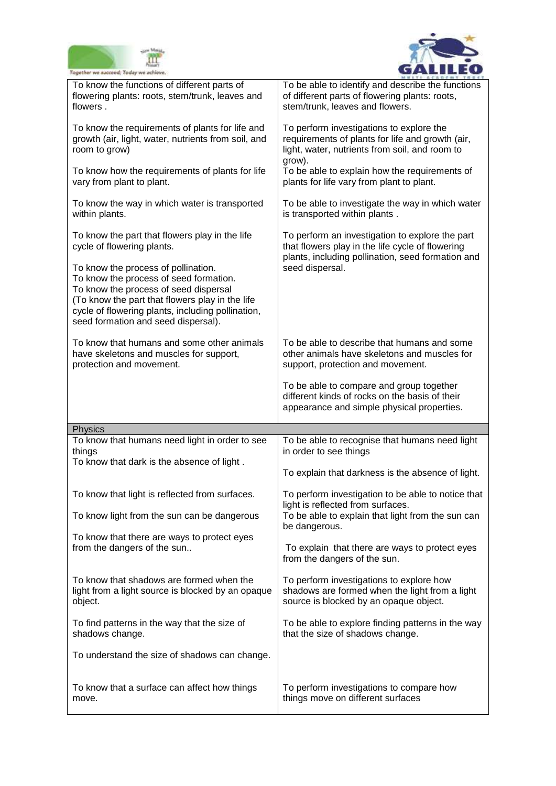



| Together we succeed; Today we achieve.                                                                                                                                                                                                                                |                                                                                                                                                          |
|-----------------------------------------------------------------------------------------------------------------------------------------------------------------------------------------------------------------------------------------------------------------------|----------------------------------------------------------------------------------------------------------------------------------------------------------|
| To know the functions of different parts of<br>flowering plants: roots, stem/trunk, leaves and<br>flowers.                                                                                                                                                            | To be able to identify and describe the functions<br>of different parts of flowering plants: roots,<br>stem/trunk, leaves and flowers.                   |
| To know the requirements of plants for life and<br>growth (air, light, water, nutrients from soil, and<br>room to grow)                                                                                                                                               | To perform investigations to explore the<br>requirements of plants for life and growth (air,<br>light, water, nutrients from soil, and room to<br>grow). |
| To know how the requirements of plants for life<br>vary from plant to plant.                                                                                                                                                                                          | To be able to explain how the requirements of<br>plants for life vary from plant to plant.                                                               |
| To know the way in which water is transported<br>within plants.                                                                                                                                                                                                       | To be able to investigate the way in which water<br>is transported within plants.                                                                        |
| To know the part that flowers play in the life<br>cycle of flowering plants.                                                                                                                                                                                          | To perform an investigation to explore the part<br>that flowers play in the life cycle of flowering<br>plants, including pollination, seed formation and |
| To know the process of pollination.<br>To know the process of seed formation.<br>To know the process of seed dispersal<br>(To know the part that flowers play in the life<br>cycle of flowering plants, including pollination,<br>seed formation and seed dispersal). | seed dispersal.                                                                                                                                          |
| To know that humans and some other animals<br>have skeletons and muscles for support,<br>protection and movement.                                                                                                                                                     | To be able to describe that humans and some<br>other animals have skeletons and muscles for<br>support, protection and movement.                         |
|                                                                                                                                                                                                                                                                       |                                                                                                                                                          |
|                                                                                                                                                                                                                                                                       | To be able to compare and group together<br>different kinds of rocks on the basis of their<br>appearance and simple physical properties.                 |
|                                                                                                                                                                                                                                                                       |                                                                                                                                                          |
| Physics<br>To know that humans need light in order to see<br>things                                                                                                                                                                                                   | To be able to recognise that humans need light<br>in order to see things                                                                                 |
| To know that dark is the absence of light.                                                                                                                                                                                                                            | To explain that darkness is the absence of light.                                                                                                        |
| To know that light is reflected from surfaces.                                                                                                                                                                                                                        | To perform investigation to be able to notice that<br>light is reflected from surfaces.                                                                  |
| To know light from the sun can be dangerous                                                                                                                                                                                                                           | To be able to explain that light from the sun can<br>be dangerous.                                                                                       |
| To know that there are ways to protect eyes<br>from the dangers of the sun                                                                                                                                                                                            | To explain that there are ways to protect eyes<br>from the dangers of the sun.                                                                           |
| To know that shadows are formed when the<br>light from a light source is blocked by an opaque<br>object.                                                                                                                                                              | To perform investigations to explore how<br>shadows are formed when the light from a light<br>source is blocked by an opaque object.                     |
| To find patterns in the way that the size of<br>shadows change.                                                                                                                                                                                                       | To be able to explore finding patterns in the way<br>that the size of shadows change.                                                                    |
| To understand the size of shadows can change.                                                                                                                                                                                                                         |                                                                                                                                                          |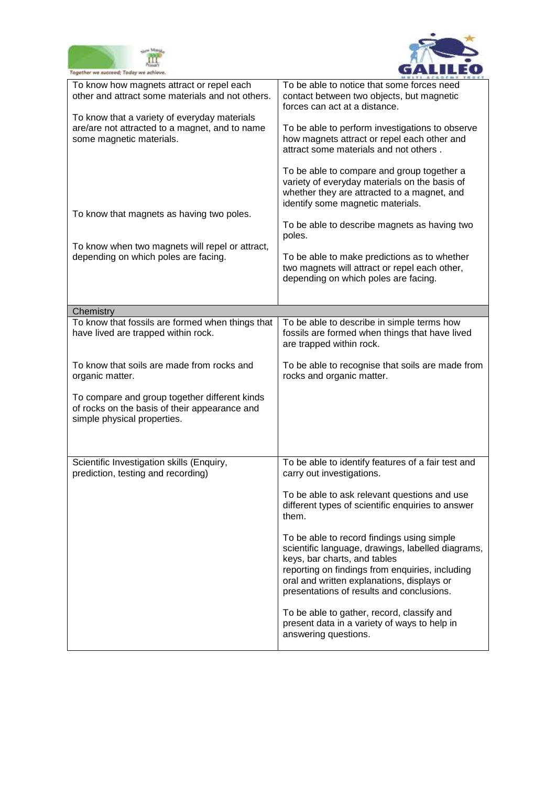



| Together we succeed; Today we achieve.                                                                                        |                                                                                                                                                                                                                                                                               |
|-------------------------------------------------------------------------------------------------------------------------------|-------------------------------------------------------------------------------------------------------------------------------------------------------------------------------------------------------------------------------------------------------------------------------|
| To know how magnets attract or repel each<br>other and attract some materials and not others.                                 | To be able to notice that some forces need<br>contact between two objects, but magnetic<br>forces can act at a distance.                                                                                                                                                      |
| To know that a variety of everyday materials<br>are/are not attracted to a magnet, and to name<br>some magnetic materials.    | To be able to perform investigations to observe<br>how magnets attract or repel each other and<br>attract some materials and not others.                                                                                                                                      |
|                                                                                                                               | To be able to compare and group together a<br>variety of everyday materials on the basis of<br>whether they are attracted to a magnet, and<br>identify some magnetic materials.                                                                                               |
| To know that magnets as having two poles.                                                                                     | To be able to describe magnets as having two<br>poles.                                                                                                                                                                                                                        |
| To know when two magnets will repel or attract,<br>depending on which poles are facing.                                       | To be able to make predictions as to whether<br>two magnets will attract or repel each other,<br>depending on which poles are facing.                                                                                                                                         |
| Chemistry                                                                                                                     |                                                                                                                                                                                                                                                                               |
| To know that fossils are formed when things that<br>have lived are trapped within rock.                                       | To be able to describe in simple terms how<br>fossils are formed when things that have lived<br>are trapped within rock.                                                                                                                                                      |
| To know that soils are made from rocks and<br>organic matter.                                                                 | To be able to recognise that soils are made from<br>rocks and organic matter.                                                                                                                                                                                                 |
| To compare and group together different kinds<br>of rocks on the basis of their appearance and<br>simple physical properties. |                                                                                                                                                                                                                                                                               |
| Scientific Investigation skills (Enquiry,<br>prediction, testing and recording)                                               | To be able to identify features of a fair test and<br>carry out investigations.                                                                                                                                                                                               |
|                                                                                                                               | To be able to ask relevant questions and use<br>different types of scientific enquiries to answer<br>them.                                                                                                                                                                    |
|                                                                                                                               | To be able to record findings using simple<br>scientific language, drawings, labelled diagrams,<br>keys, bar charts, and tables<br>reporting on findings from enquiries, including<br>oral and written explanations, displays or<br>presentations of results and conclusions. |
|                                                                                                                               | To be able to gather, record, classify and<br>present data in a variety of ways to help in<br>answering questions.                                                                                                                                                            |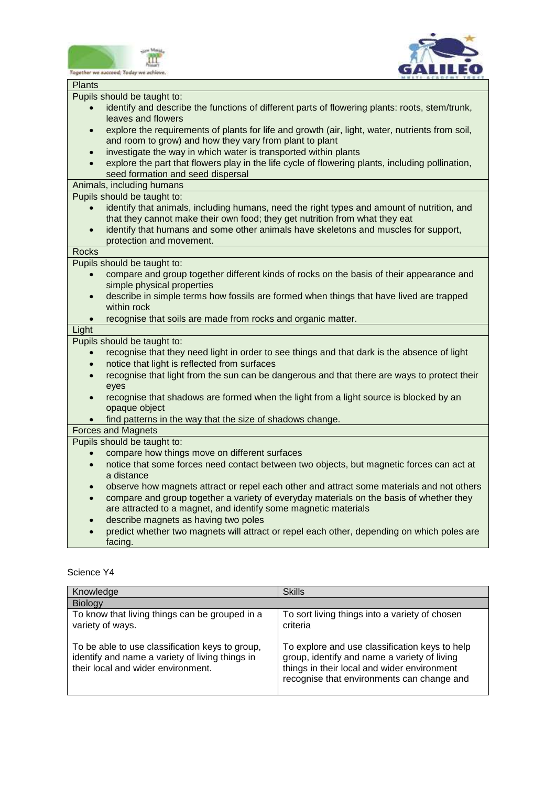



|               | Together we succeed; Today we achiev                                                             |
|---------------|--------------------------------------------------------------------------------------------------|
| <b>Plants</b> |                                                                                                  |
|               | Pupils should be taught to:                                                                      |
| $\bullet$     | identify and describe the functions of different parts of flowering plants: roots, stem/trunk,   |
|               | leaves and flowers                                                                               |
| $\bullet$     | explore the requirements of plants for life and growth (air, light, water, nutrients from soil,  |
|               | and room to grow) and how they vary from plant to plant                                          |
| $\bullet$     | investigate the way in which water is transported within plants                                  |
|               | explore the part that flowers play in the life cycle of flowering plants, including pollination, |
|               | seed formation and seed dispersal                                                                |
|               | Animals, including humans                                                                        |
|               | Pupils should be taught to:                                                                      |
|               | identify that animals, including humans, need the right types and amount of nutrition, and       |
|               | that they cannot make their own food; they get nutrition from what they eat                      |
| $\bullet$     | identify that humans and some other animals have skeletons and muscles for support,              |
|               | protection and movement.                                                                         |
| Rocks         |                                                                                                  |
|               | Pupils should be taught to:                                                                      |
|               | compare and group together different kinds of rocks on the basis of their appearance and         |
|               | simple physical properties                                                                       |
| $\bullet$     | describe in simple terms how fossils are formed when things that have lived are trapped          |
|               | within rock                                                                                      |
|               | recognise that soils are made from rocks and organic matter.                                     |
| Light         |                                                                                                  |
|               | Pupils should be taught to:                                                                      |
| $\bullet$     | recognise that they need light in order to see things and that dark is the absence of light      |
| $\bullet$     | notice that light is reflected from surfaces                                                     |
| $\bullet$     | recognise that light from the sun can be dangerous and that there are ways to protect their      |
|               | eyes                                                                                             |
| $\bullet$     | recognise that shadows are formed when the light from a light source is blocked by an            |
|               | opaque object                                                                                    |
|               | find patterns in the way that the size of shadows change.                                        |
|               | <b>Forces and Magnets</b>                                                                        |
|               | Pupils should be taught to:                                                                      |
|               | compare how things move on different surfaces                                                    |
| $\bullet$     | notice that some forces need contact between two objects, but magnetic forces can act at         |
|               | a distance                                                                                       |
| $\bullet$     | observe how magnets attract or repel each other and attract some materials and not others        |
| $\bullet$     | compare and group together a variety of everyday materials on the basis of whether they          |
|               | are attracted to a magnet, and identify some magnetic materials                                  |
| $\bullet$     | describe magnets as having two poles                                                             |
|               | predict whether two magnets will attract or repel each other, depending on which poles are       |
|               | facing.                                                                                          |
|               |                                                                                                  |

| Knowledge                                                                                                                                | <b>Skills</b>                                                                                                                                                                               |
|------------------------------------------------------------------------------------------------------------------------------------------|---------------------------------------------------------------------------------------------------------------------------------------------------------------------------------------------|
| <b>Biology</b>                                                                                                                           |                                                                                                                                                                                             |
| To know that living things can be grouped in a<br>variety of ways.                                                                       | To sort living things into a variety of chosen<br>criteria                                                                                                                                  |
| To be able to use classification keys to group,<br>identify and name a variety of living things in<br>their local and wider environment. | To explore and use classification keys to help<br>group, identify and name a variety of living<br>things in their local and wider environment<br>recognise that environments can change and |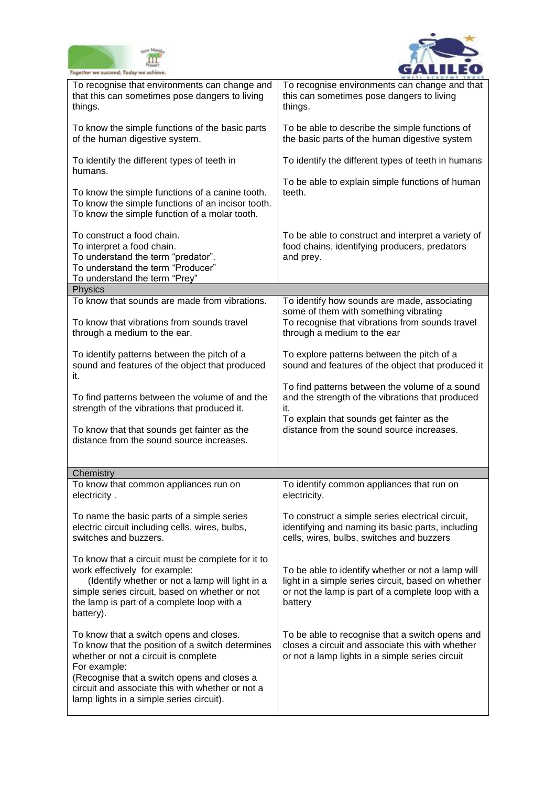



| Together we succeed; Today we achieve.                                                                                                                                                                                                                                                             |                                                                                                                                                                         |
|----------------------------------------------------------------------------------------------------------------------------------------------------------------------------------------------------------------------------------------------------------------------------------------------------|-------------------------------------------------------------------------------------------------------------------------------------------------------------------------|
| To recognise that environments can change and<br>that this can sometimes pose dangers to living<br>things.                                                                                                                                                                                         | To recognise environments can change and that<br>this can sometimes pose dangers to living<br>things.                                                                   |
| To know the simple functions of the basic parts<br>of the human digestive system.                                                                                                                                                                                                                  | To be able to describe the simple functions of<br>the basic parts of the human digestive system                                                                         |
| To identify the different types of teeth in<br>humans.                                                                                                                                                                                                                                             | To identify the different types of teeth in humans                                                                                                                      |
| To know the simple functions of a canine tooth.<br>To know the simple functions of an incisor tooth.<br>To know the simple function of a molar tooth.                                                                                                                                              | To be able to explain simple functions of human<br>teeth.                                                                                                               |
| To construct a food chain.<br>To interpret a food chain.<br>To understand the term "predator".<br>To understand the term "Producer"<br>To understand the term "Prey"                                                                                                                               | To be able to construct and interpret a variety of<br>food chains, identifying producers, predators<br>and prey.                                                        |
| Physics                                                                                                                                                                                                                                                                                            |                                                                                                                                                                         |
| To know that sounds are made from vibrations.<br>To know that vibrations from sounds travel<br>through a medium to the ear.                                                                                                                                                                        | To identify how sounds are made, associating<br>some of them with something vibrating<br>To recognise that vibrations from sounds travel<br>through a medium to the ear |
| To identify patterns between the pitch of a<br>sound and features of the object that produced<br>it.                                                                                                                                                                                               | To explore patterns between the pitch of a<br>sound and features of the object that produced it                                                                         |
| To find patterns between the volume of and the<br>strength of the vibrations that produced it.                                                                                                                                                                                                     | To find patterns between the volume of a sound<br>and the strength of the vibrations that produced<br>it.<br>To explain that sounds get fainter as the                  |
| To know that that sounds get fainter as the<br>distance from the sound source increases.                                                                                                                                                                                                           | distance from the sound source increases.                                                                                                                               |
|                                                                                                                                                                                                                                                                                                    |                                                                                                                                                                         |
| Chemistry<br>To know that common appliances run on<br>electricity.                                                                                                                                                                                                                                 | To identify common appliances that run on<br>electricity.                                                                                                               |
| To name the basic parts of a simple series<br>electric circuit including cells, wires, bulbs,<br>switches and buzzers.                                                                                                                                                                             | To construct a simple series electrical circuit,<br>identifying and naming its basic parts, including<br>cells, wires, bulbs, switches and buzzers                      |
| To know that a circuit must be complete for it to<br>work effectively for example:<br>(Identify whether or not a lamp will light in a<br>simple series circuit, based on whether or not<br>the lamp is part of a complete loop with a<br>battery).                                                 | To be able to identify whether or not a lamp will<br>light in a simple series circuit, based on whether<br>or not the lamp is part of a complete loop with a<br>battery |
| To know that a switch opens and closes.<br>To know that the position of a switch determines<br>whether or not a circuit is complete<br>For example:<br>(Recognise that a switch opens and closes a<br>circuit and associate this with whether or not a<br>lamp lights in a simple series circuit). | To be able to recognise that a switch opens and<br>closes a circuit and associate this with whether<br>or not a lamp lights in a simple series circuit                  |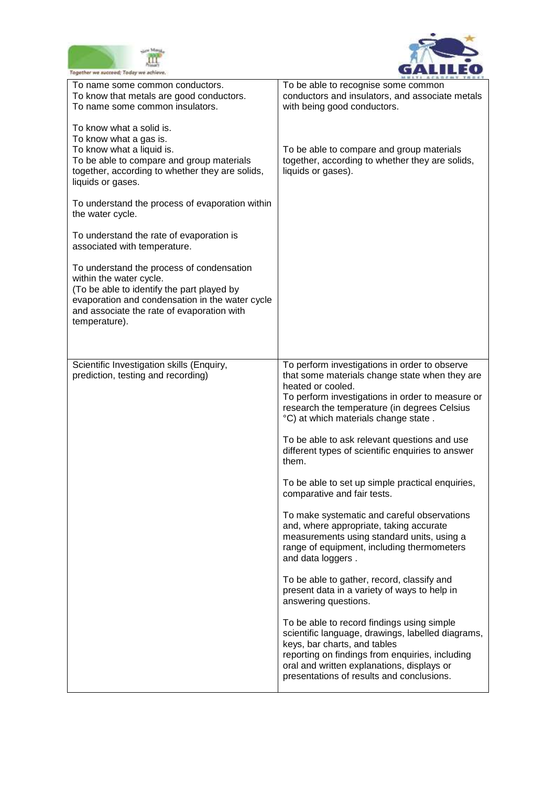



| Together we succeed; Today we achieve                                                                                                                                                                                                |                                                                                                                                                                                                                                                                                                                                                                                                                                                                                                                                                                                                                                                                                                                                                                                                                                                                                                                                                                                                                                        |
|--------------------------------------------------------------------------------------------------------------------------------------------------------------------------------------------------------------------------------------|----------------------------------------------------------------------------------------------------------------------------------------------------------------------------------------------------------------------------------------------------------------------------------------------------------------------------------------------------------------------------------------------------------------------------------------------------------------------------------------------------------------------------------------------------------------------------------------------------------------------------------------------------------------------------------------------------------------------------------------------------------------------------------------------------------------------------------------------------------------------------------------------------------------------------------------------------------------------------------------------------------------------------------------|
| To name some common conductors.<br>To know that metals are good conductors.<br>To name some common insulators.                                                                                                                       | To be able to recognise some common<br>conductors and insulators, and associate metals<br>with being good conductors.                                                                                                                                                                                                                                                                                                                                                                                                                                                                                                                                                                                                                                                                                                                                                                                                                                                                                                                  |
| To know what a solid is.<br>To know what a gas is.<br>To know what a liquid is.<br>To be able to compare and group materials<br>together, according to whether they are solids,<br>liquids or gases.                                 | To be able to compare and group materials<br>together, according to whether they are solids,<br>liquids or gases).                                                                                                                                                                                                                                                                                                                                                                                                                                                                                                                                                                                                                                                                                                                                                                                                                                                                                                                     |
| To understand the process of evaporation within<br>the water cycle.                                                                                                                                                                  |                                                                                                                                                                                                                                                                                                                                                                                                                                                                                                                                                                                                                                                                                                                                                                                                                                                                                                                                                                                                                                        |
| To understand the rate of evaporation is<br>associated with temperature.                                                                                                                                                             |                                                                                                                                                                                                                                                                                                                                                                                                                                                                                                                                                                                                                                                                                                                                                                                                                                                                                                                                                                                                                                        |
| To understand the process of condensation<br>within the water cycle.<br>(To be able to identify the part played by<br>evaporation and condensation in the water cycle<br>and associate the rate of evaporation with<br>temperature). |                                                                                                                                                                                                                                                                                                                                                                                                                                                                                                                                                                                                                                                                                                                                                                                                                                                                                                                                                                                                                                        |
| Scientific Investigation skills (Enquiry,<br>prediction, testing and recording)                                                                                                                                                      | To perform investigations in order to observe<br>that some materials change state when they are<br>heated or cooled.<br>To perform investigations in order to measure or<br>research the temperature (in degrees Celsius<br>°C) at which materials change state.<br>To be able to ask relevant questions and use<br>different types of scientific enquiries to answer<br>them.<br>To be able to set up simple practical enquiries,<br>comparative and fair tests.<br>To make systematic and careful observations<br>and, where appropriate, taking accurate<br>measurements using standard units, using a<br>range of equipment, including thermometers<br>and data loggers.<br>To be able to gather, record, classify and<br>present data in a variety of ways to help in<br>answering questions.<br>To be able to record findings using simple<br>scientific language, drawings, labelled diagrams,<br>keys, bar charts, and tables<br>reporting on findings from enquiries, including<br>oral and written explanations, displays or |
|                                                                                                                                                                                                                                      | presentations of results and conclusions.                                                                                                                                                                                                                                                                                                                                                                                                                                                                                                                                                                                                                                                                                                                                                                                                                                                                                                                                                                                              |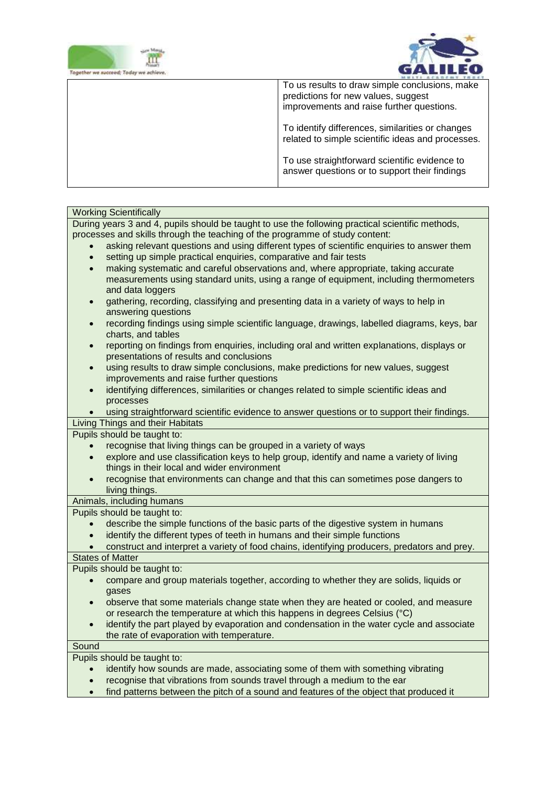



| To us results to draw simple conclusions, make<br>predictions for new values, suggest<br>improvements and raise further questions. |
|------------------------------------------------------------------------------------------------------------------------------------|
| To identify differences, similarities or changes<br>related to simple scientific ideas and processes.                              |
| To use straightforward scientific evidence to<br>answer questions or to support their findings                                     |

### Working Scientifically

During years 3 and 4, pupils should be taught to use the following practical scientific methods, processes and skills through the teaching of the programme of study content:

- asking relevant questions and using different types of scientific enquiries to answer them
- setting up simple practical enquiries, comparative and fair tests
- making systematic and careful observations and, where appropriate, taking accurate measurements using standard units, using a range of equipment, including thermometers and data loggers
- gathering, recording, classifying and presenting data in a variety of ways to help in answering questions
- recording findings using simple scientific language, drawings, labelled diagrams, keys, bar charts, and tables
- reporting on findings from enquiries, including oral and written explanations, displays or presentations of results and conclusions
- using results to draw simple conclusions, make predictions for new values, suggest improvements and raise further questions
- identifying differences, similarities or changes related to simple scientific ideas and processes

using straightforward scientific evidence to answer questions or to support their findings.

Living Things and their Habitats

Pupils should be taught to:

- recognise that living things can be grouped in a variety of ways
- explore and use classification keys to help group, identify and name a variety of living things in their local and wider environment
- recognise that environments can change and that this can sometimes pose dangers to living things.

Animals, including humans

Pupils should be taught to:

- describe the simple functions of the basic parts of the digestive system in humans
- identify the different types of teeth in humans and their simple functions
- construct and interpret a variety of food chains, identifying producers, predators and prey.

States of Matter

Pupils should be taught to:

- compare and group materials together, according to whether they are solids, liquids or gases
- observe that some materials change state when they are heated or cooled, and measure or research the temperature at which this happens in degrees Celsius (°C)
- identify the part played by evaporation and condensation in the water cycle and associate the rate of evaporation with temperature.

#### Sound

Pupils should be taught to:

- identify how sounds are made, associating some of them with something vibrating
- recognise that vibrations from sounds travel through a medium to the ear
- find patterns between the pitch of a sound and features of the object that produced it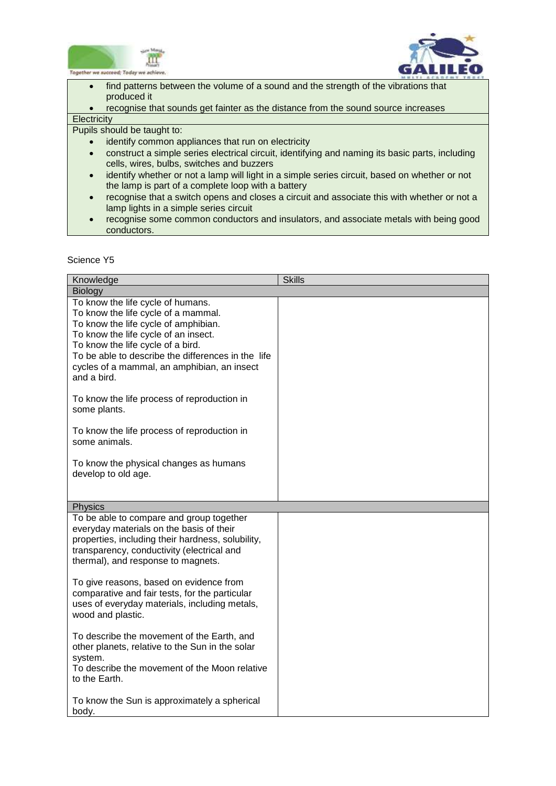



 $\overline{a}$ • find patterns between the volume of a sound and the strength of the vibrations that produced it

 recognise that sounds get fainter as the distance from the sound source increases **Electricity** 

Pupils should be taught to:

- identify common appliances that run on electricity
- construct a simple series electrical circuit, identifying and naming its basic parts, including cells, wires, bulbs, switches and buzzers
- identify whether or not a lamp will light in a simple series circuit, based on whether or not the lamp is part of a complete loop with a battery
- recognise that a switch opens and closes a circuit and associate this with whether or not a lamp lights in a simple series circuit
- recognise some common conductors and insulators, and associate metals with being good conductors.

| Knowledge                                                                                                                                                                                                                                                                                                         | <b>Skills</b> |
|-------------------------------------------------------------------------------------------------------------------------------------------------------------------------------------------------------------------------------------------------------------------------------------------------------------------|---------------|
| Biology                                                                                                                                                                                                                                                                                                           |               |
| To know the life cycle of humans.<br>To know the life cycle of a mammal.<br>To know the life cycle of amphibian.<br>To know the life cycle of an insect.<br>To know the life cycle of a bird.<br>To be able to describe the differences in the life<br>cycles of a mammal, an amphibian, an insect<br>and a bird. |               |
| To know the life process of reproduction in<br>some plants.                                                                                                                                                                                                                                                       |               |
| To know the life process of reproduction in<br>some animals.                                                                                                                                                                                                                                                      |               |
| To know the physical changes as humans<br>develop to old age.                                                                                                                                                                                                                                                     |               |
| <b>Physics</b>                                                                                                                                                                                                                                                                                                    |               |
| To be able to compare and group together<br>everyday materials on the basis of their<br>properties, including their hardness, solubility,<br>transparency, conductivity (electrical and<br>thermal), and response to magnets.                                                                                     |               |
| To give reasons, based on evidence from<br>comparative and fair tests, for the particular<br>uses of everyday materials, including metals,<br>wood and plastic.                                                                                                                                                   |               |
| To describe the movement of the Earth, and<br>other planets, relative to the Sun in the solar<br>system.<br>To describe the movement of the Moon relative<br>to the Earth.                                                                                                                                        |               |
| To know the Sun is approximately a spherical<br>body.                                                                                                                                                                                                                                                             |               |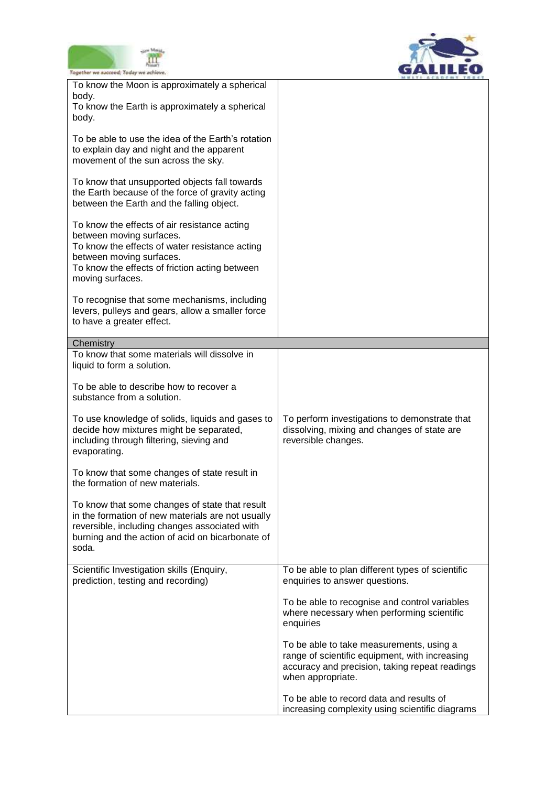



| Together we succeed; Today we achieve.                                                                                                                                                                                       |                                                                                                                                                                   |
|------------------------------------------------------------------------------------------------------------------------------------------------------------------------------------------------------------------------------|-------------------------------------------------------------------------------------------------------------------------------------------------------------------|
| To know the Moon is approximately a spherical<br>body.<br>To know the Earth is approximately a spherical                                                                                                                     |                                                                                                                                                                   |
| body.                                                                                                                                                                                                                        |                                                                                                                                                                   |
| To be able to use the idea of the Earth's rotation<br>to explain day and night and the apparent<br>movement of the sun across the sky.                                                                                       |                                                                                                                                                                   |
| To know that unsupported objects fall towards<br>the Earth because of the force of gravity acting<br>between the Earth and the falling object.                                                                               |                                                                                                                                                                   |
| To know the effects of air resistance acting<br>between moving surfaces.<br>To know the effects of water resistance acting<br>between moving surfaces.<br>To know the effects of friction acting between<br>moving surfaces. |                                                                                                                                                                   |
| To recognise that some mechanisms, including<br>levers, pulleys and gears, allow a smaller force<br>to have a greater effect.                                                                                                |                                                                                                                                                                   |
| Chemistry                                                                                                                                                                                                                    |                                                                                                                                                                   |
| To know that some materials will dissolve in<br>liquid to form a solution.                                                                                                                                                   |                                                                                                                                                                   |
| To be able to describe how to recover a<br>substance from a solution.                                                                                                                                                        |                                                                                                                                                                   |
| To use knowledge of solids, liquids and gases to<br>decide how mixtures might be separated,<br>including through filtering, sieving and<br>evaporating.                                                                      | To perform investigations to demonstrate that<br>dissolving, mixing and changes of state are<br>reversible changes.                                               |
| To know that some changes of state result in<br>the formation of new materials.                                                                                                                                              |                                                                                                                                                                   |
| To know that some changes of state that result<br>in the formation of new materials are not usually<br>reversible, including changes associated with<br>burning and the action of acid on bicarbonate of<br>soda.            |                                                                                                                                                                   |
| Scientific Investigation skills (Enquiry,<br>prediction, testing and recording)                                                                                                                                              | To be able to plan different types of scientific<br>enquiries to answer questions.                                                                                |
|                                                                                                                                                                                                                              | To be able to recognise and control variables<br>where necessary when performing scientific<br>enquiries                                                          |
|                                                                                                                                                                                                                              | To be able to take measurements, using a<br>range of scientific equipment, with increasing<br>accuracy and precision, taking repeat readings<br>when appropriate. |
|                                                                                                                                                                                                                              | To be able to record data and results of<br>increasing complexity using scientific diagrams                                                                       |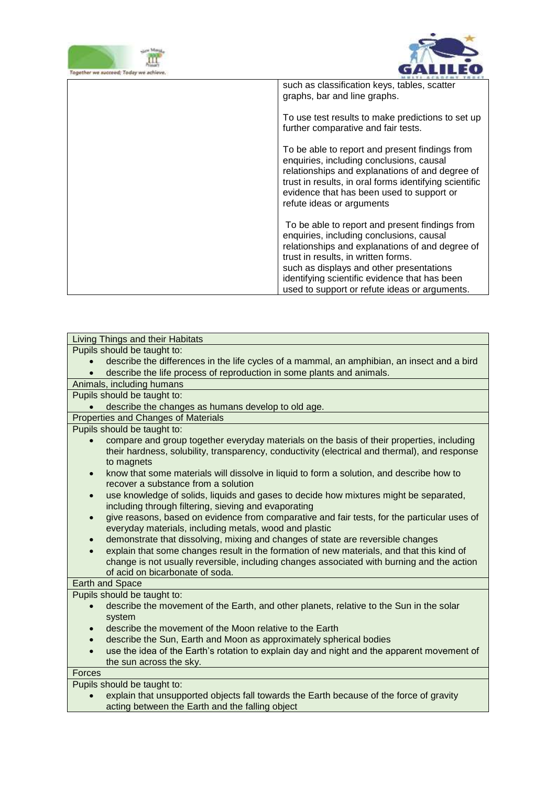



| such as classification keys, tables, scatter<br>graphs, bar and line graphs.                                                                                                                                                                                                                                                       |
|------------------------------------------------------------------------------------------------------------------------------------------------------------------------------------------------------------------------------------------------------------------------------------------------------------------------------------|
| To use test results to make predictions to set up<br>further comparative and fair tests.                                                                                                                                                                                                                                           |
| To be able to report and present findings from<br>enquiries, including conclusions, causal<br>relationships and explanations of and degree of<br>trust in results, in oral forms identifying scientific<br>evidence that has been used to support or<br>refute ideas or arguments                                                  |
| To be able to report and present findings from<br>enquiries, including conclusions, causal<br>relationships and explanations of and degree of<br>trust in results, in written forms.<br>such as displays and other presentations<br>identifying scientific evidence that has been<br>used to support or refute ideas or arguments. |

| Living Things and their Habitats                                                                                                                                                                         |
|----------------------------------------------------------------------------------------------------------------------------------------------------------------------------------------------------------|
| Pupils should be taught to:                                                                                                                                                                              |
| describe the differences in the life cycles of a mammal, an amphibian, an insect and a bird                                                                                                              |
| describe the life process of reproduction in some plants and animals.                                                                                                                                    |
| Animals, including humans                                                                                                                                                                                |
| Pupils should be taught to:                                                                                                                                                                              |
| describe the changes as humans develop to old age.                                                                                                                                                       |
| Properties and Changes of Materials                                                                                                                                                                      |
| Pupils should be taught to:                                                                                                                                                                              |
| compare and group together everyday materials on the basis of their properties, including<br>their hardness, solubility, transparency, conductivity (electrical and thermal), and response<br>to magnets |
| know that some materials will dissolve in liquid to form a solution, and describe how to<br>$\bullet$<br>recover a substance from a solution                                                             |
| use knowledge of solids, liquids and gases to decide how mixtures might be separated,<br>$\bullet$<br>including through filtering, sieving and evaporating                                               |
| give reasons, based on evidence from comparative and fair tests, for the particular uses of<br>$\bullet$<br>everyday materials, including metals, wood and plastic                                       |
| demonstrate that dissolving, mixing and changes of state are reversible changes<br>$\bullet$                                                                                                             |
| explain that some changes result in the formation of new materials, and that this kind of                                                                                                                |
| change is not usually reversible, including changes associated with burning and the action                                                                                                               |
| of acid on bicarbonate of soda.                                                                                                                                                                          |
| Earth and Space                                                                                                                                                                                          |
| Pupils should be taught to:                                                                                                                                                                              |
| describe the movement of the Earth, and other planets, relative to the Sun in the solar<br>$\bullet$<br>system                                                                                           |
| describe the movement of the Moon relative to the Earth<br>$\bullet$                                                                                                                                     |
| describe the Sun, Earth and Moon as approximately spherical bodies<br>$\bullet$                                                                                                                          |
| use the idea of the Earth's rotation to explain day and night and the apparent movement of                                                                                                               |
| the sun across the sky.                                                                                                                                                                                  |
| <b>Forces</b>                                                                                                                                                                                            |
| Pupils should be taught to:                                                                                                                                                                              |
| explain that unsupported objects fall towards the Earth because of the force of gravity                                                                                                                  |
| acting between the Earth and the falling object                                                                                                                                                          |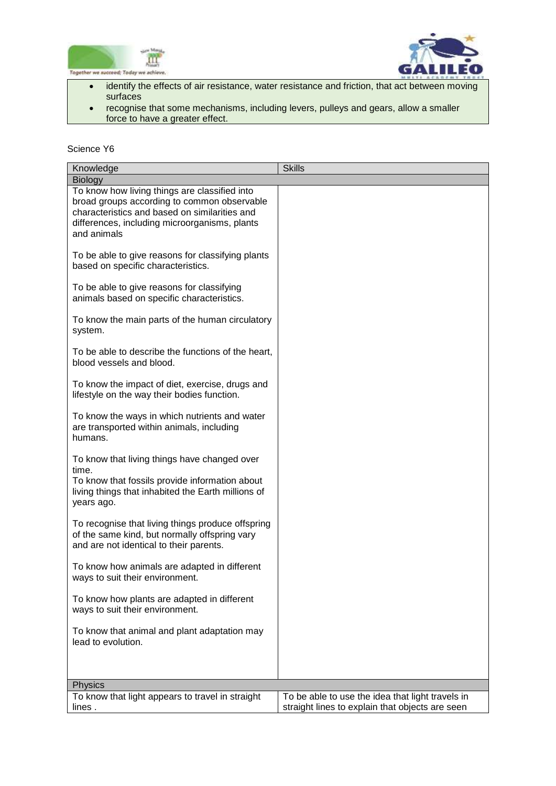



- identify the effects of air resistance, water resistance and friction, that act between moving surfaces
- recognise that some mechanisms, including levers, pulleys and gears, allow a smaller force to have a greater effect.

| Knowledge                                                                                                                                                                                                     | <b>Skills</b>                                                                                       |
|---------------------------------------------------------------------------------------------------------------------------------------------------------------------------------------------------------------|-----------------------------------------------------------------------------------------------------|
| <b>Biology</b>                                                                                                                                                                                                |                                                                                                     |
| To know how living things are classified into<br>broad groups according to common observable<br>characteristics and based on similarities and<br>differences, including microorganisms, plants<br>and animals |                                                                                                     |
| To be able to give reasons for classifying plants<br>based on specific characteristics.                                                                                                                       |                                                                                                     |
| To be able to give reasons for classifying<br>animals based on specific characteristics.                                                                                                                      |                                                                                                     |
| To know the main parts of the human circulatory<br>system.                                                                                                                                                    |                                                                                                     |
| To be able to describe the functions of the heart,<br>blood vessels and blood.                                                                                                                                |                                                                                                     |
| To know the impact of diet, exercise, drugs and<br>lifestyle on the way their bodies function.                                                                                                                |                                                                                                     |
| To know the ways in which nutrients and water<br>are transported within animals, including<br>humans.                                                                                                         |                                                                                                     |
| To know that living things have changed over<br>time.<br>To know that fossils provide information about<br>living things that inhabited the Earth millions of<br>years ago.                                   |                                                                                                     |
| To recognise that living things produce offspring<br>of the same kind, but normally offspring vary<br>and are not identical to their parents.                                                                 |                                                                                                     |
| To know how animals are adapted in different<br>ways to suit their environment.                                                                                                                               |                                                                                                     |
| To know how plants are adapted in different<br>ways to suit their environment.                                                                                                                                |                                                                                                     |
| To know that animal and plant adaptation may<br>lead to evolution.                                                                                                                                            |                                                                                                     |
|                                                                                                                                                                                                               |                                                                                                     |
| Physics                                                                                                                                                                                                       |                                                                                                     |
| To know that light appears to travel in straight<br>lines.                                                                                                                                                    | To be able to use the idea that light travels in<br>straight lines to explain that objects are seen |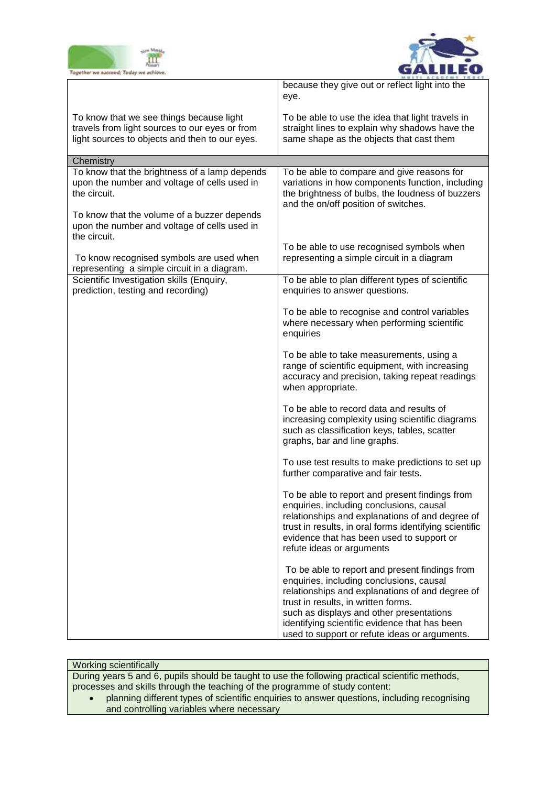



|                                                                                                                                              | because they give out or reflect light into the<br>eye.                                                                                                                                                                                                                                                                            |
|----------------------------------------------------------------------------------------------------------------------------------------------|------------------------------------------------------------------------------------------------------------------------------------------------------------------------------------------------------------------------------------------------------------------------------------------------------------------------------------|
| To know that we see things because light<br>travels from light sources to our eyes or from<br>light sources to objects and then to our eyes. | To be able to use the idea that light travels in<br>straight lines to explain why shadows have the<br>same shape as the objects that cast them                                                                                                                                                                                     |
| Chemistry                                                                                                                                    |                                                                                                                                                                                                                                                                                                                                    |
| To know that the brightness of a lamp depends<br>upon the number and voltage of cells used in<br>the circuit.                                | To be able to compare and give reasons for<br>variations in how components function, including<br>the brightness of bulbs, the loudness of buzzers<br>and the on/off position of switches.                                                                                                                                         |
| To know that the volume of a buzzer depends<br>upon the number and voltage of cells used in<br>the circuit.                                  |                                                                                                                                                                                                                                                                                                                                    |
| To know recognised symbols are used when<br>representing a simple circuit in a diagram.                                                      | To be able to use recognised symbols when<br>representing a simple circuit in a diagram                                                                                                                                                                                                                                            |
| Scientific Investigation skills (Enquiry,<br>prediction, testing and recording)                                                              | To be able to plan different types of scientific<br>enquiries to answer questions.                                                                                                                                                                                                                                                 |
|                                                                                                                                              | To be able to recognise and control variables<br>where necessary when performing scientific<br>enquiries                                                                                                                                                                                                                           |
|                                                                                                                                              | To be able to take measurements, using a<br>range of scientific equipment, with increasing<br>accuracy and precision, taking repeat readings<br>when appropriate.                                                                                                                                                                  |
|                                                                                                                                              | To be able to record data and results of<br>increasing complexity using scientific diagrams<br>such as classification keys, tables, scatter<br>graphs, bar and line graphs.                                                                                                                                                        |
|                                                                                                                                              | To use test results to make predictions to set up<br>further comparative and fair tests.                                                                                                                                                                                                                                           |
|                                                                                                                                              | To be able to report and present findings from<br>enquiries, including conclusions, causal<br>relationships and explanations of and degree of<br>trust in results, in oral forms identifying scientific<br>evidence that has been used to support or<br>refute ideas or arguments                                                  |
|                                                                                                                                              | To be able to report and present findings from<br>enquiries, including conclusions, causal<br>relationships and explanations of and degree of<br>trust in results, in written forms.<br>such as displays and other presentations<br>identifying scientific evidence that has been<br>used to support or refute ideas or arguments. |

Working scientifically

During years 5 and 6, pupils should be taught to use the following practical scientific methods, processes and skills through the teaching of the programme of study content:

 planning different types of scientific enquiries to answer questions, including recognising and controlling variables where necessary